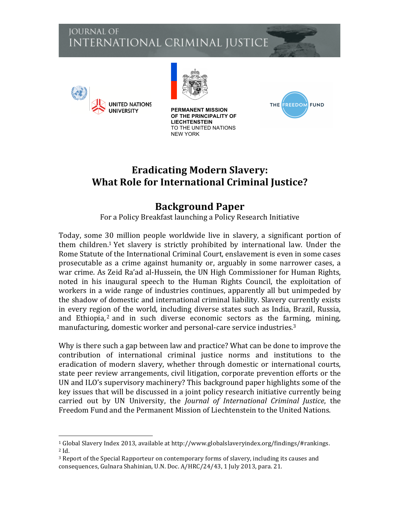# **JOURNAL OF** INTERNATIONAL CRIMINAL JUSTICE



 



**PERMANENT MISSION OF THE PRINCIPALITY OF LIECHTENSTEIN** TO THE UNITED NATIONS NEW YORK



# **Eradicating Modern Slavery: What Role for International Criminal Justice?**

# **Background Paper**

For a Policy Breakfast launching a Policy Research Initiative

Today, some 30 million people worldwide live in slavery, a significant portion of them children.<sup>1</sup> Yet slavery is strictly prohibited by international law. Under the Rome Statute of the International Criminal Court, enslavement is even in some cases prosecutable as a crime against humanity or, arguably in some narrower cases, a war crime. As Zeid Ra'ad al-Hussein, the UN High Commissioner for Human Rights, noted in his inaugural speech to the Human Rights Council, the exploitation of workers in a wide range of industries continues, apparently all but unimpeded by the shadow of domestic and international criminal liability. Slavery currently exists in every region of the world, including diverse states such as India, Brazil, Russia, and Ethiopia,<sup>2</sup> and in such diverse economic sectors as the farming, mining, manufacturing, domestic worker and personal-care service industries.<sup>3</sup>

Why is there such a gap between law and practice? What can be done to improve the contribution of international criminal justice norms and institutions to the eradication of modern slavery, whether through domestic or international courts, state peer review arrangements, civil litigation, corporate prevention efforts or the UN and ILO's supervisory machinery? This background paper highlights some of the key issues that will be discussed in a joint policy research initiative currently being carried out by UN University, the *Journal of International Criminal Justice*, the Freedom Fund and the Permanent Mission of Liechtenstein to the United Nations.

 $1$  Global Slavery Index 2013, available at http://www.globalslaveryindex.org/findings/#rankings.  $2$  Id.

 $3$  Report of the Special Rapporteur on contemporary forms of slavery, including its causes and consequences, Gulnara Shahinian, U.N. Doc. A/HRC/24/43, 1 July 2013, para. 21.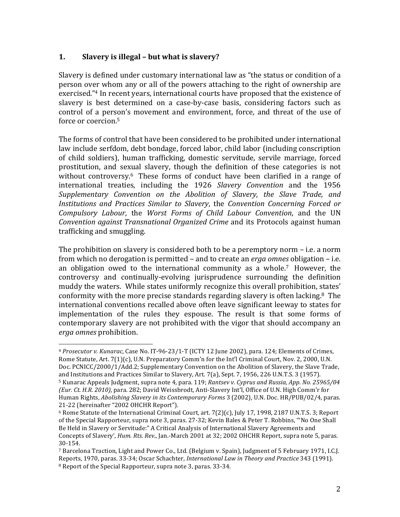### **1.** Slavery is illegal – but what is slavery?

 

Slavery is defined under customary international law as "the status or condition of a person over whom any or all of the powers attaching to the right of ownership are exercised."<sup>4</sup> In recent years, international courts have proposed that the existence of slavery is best determined on a case-by-case basis, considering factors such as control of a person's movement and environment, force, and threat of the use of force or coercion.<sup>5</sup>

The forms of control that have been considered to be prohibited under international law include serfdom, debt bondage, forced labor, child labor (including conscription of child soldiers), human trafficking, domestic servitude, servile marriage, forced prostitution, and sexual slavery, though the definition of these categories is not without controversy.<sup>6</sup> These forms of conduct have been clarified in a range of international treaties, including the 1926 Slavery Convention and the 1956 *Supplementary Convention on the Abolition of Slavery, the Slave Trade, and Institutions and Practices Similar to Slavery*, the *Convention Concerning Forced or Compulsory Labour*, the *Worst Forms of Child Labour Convention*, and the UN *Convention against Transnational Organized Crime* and its Protocols against human trafficking and smuggling.

The prohibition on slavery is considered both to be a peremptory norm  $-$  i.e. a norm from which no derogation is permitted – and to create an *erga omnes* obligation – i.e. an obligation owed to the international community as a whole.<sup>7</sup> However, the controversy and continually-evolving jurisprudence surrounding the definition muddy the waters. While states uniformly recognize this overall prohibition, states' conformity with the more precise standards regarding slavery is often lacking.<sup>8</sup> The international conventions recalled above often leave significant leeway to states for implementation of the rules they espouse. The result is that some forms of contemporary slavery are not prohibited with the vigor that should accompany an *erga omnes* prohibition. 

<sup>&</sup>lt;sup>4</sup> *Prosecutor v. Kunarac*, Case No. IT-96-23/1-T (ICTY 12 June 2002), para. 124; Elements of Crimes, Rome Statute, Art. 7(1)(c), U.N. Preparatory Comm'n for the Int'l Criminal Court, Nov. 2, 2000, U.N. Doc. PCNICC/2000/1/Add.2; Supplementary Convention on the Abolition of Slavery, the Slave Trade, and Institutions and Practices Similar to Slavery, Art. 7(a), Sept. 7, 1956, 226 U.N.T.S. 3 (1957). <sup>5</sup> Kunarac Appeals Judgment, supra note 4, para. 119; *Rantsev v. Cyprus and Russia, App. No. 25965/04 (Eur. Ct. H.R. 2010)*, para. 282; David Weissbrodt, Anti-Slavery Int'l, Office of U.N. High Comm'r for Human Rights, *Abolishing Slavery in its Contemporary Forms* 3 (2002), U.N. Doc. HR/PUB/02/4, paras. 21-22 (hereinafter "2002 OHCHR Report").

 $6$  Rome Statute of the International Criminal Court, art.  $7(2)(c)$ , July 17, 1998, 2187 U.N.T.S. 3; Report of the Special Rapporteur, supra note 3, paras. 27-32; Kevin Bales & Peter T. Robbins, "No One Shall Be Held in Slavery or Servitude:" A Critical Analysis of International Slavery Agreements and Concepts of Slavery', *Hum. Rts. Rev.*, Jan.-March 2001 at 32; 2002 OHCHR Report, supra note 5, paras. 30-154.

<sup>&</sup>lt;sup>7</sup> Barcelona Traction, Light and Power Co., Ltd. (Belgium v. Spain), Judgment of 5 February 1971, I.C.J. Reports, 1970, paras. 33-34; Oscar Schachter, *International Law in Theory and Practice* 343 (1991).  $8$  Report of the Special Rapporteur, supra note 3, paras. 33-34.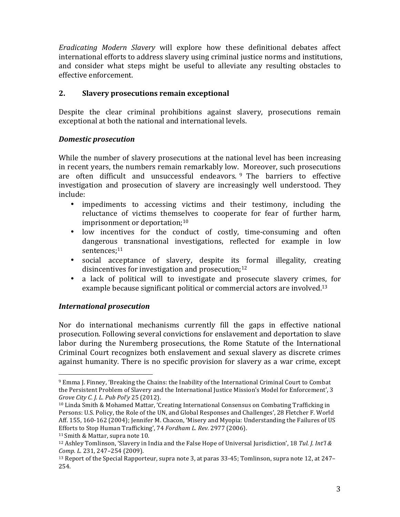*Eradicating Modern Slavery*  will explore how these definitional debates affect international efforts to address slavery using criminal justice norms and institutions, and consider what steps might be useful to alleviate any resulting obstacles to effective enforcement.

### **2.** Slavery prosecutions remain exceptional

Despite the clear criminal prohibitions against slavery, prosecutions remain exceptional at both the national and international levels.

#### *Domestic prosecution*

While the number of slavery prosecutions at the national level has been increasing in recent years, the numbers remain remarkably low. Moreover, such prosecutions are often difficult and unsuccessful endeavors.  $9$  The barriers to effective investigation and prosecution of slavery are increasingly well understood. They include:

- impediments to accessing victims and their testimony, including the reluctance of victims themselves to cooperate for fear of further harm, imprisonment or deportation; $10$
- low incentives for the conduct of costly, time-consuming and often dangerous transnational investigations, reflected for example in low sentences;<sup>11</sup>
- social acceptance of slavery, despite its formal illegality, creating disincentives for investigation and prosecution; $12$
- a lack of political will to investigate and prosecute slavery crimes, for example because significant political or commercial actors are involved.<sup>13</sup>

# *International prosecution*

Nor do international mechanisms currently fill the gaps in effective national prosecution. Following several convictions for enslavement and deportation to slave labor during the Nuremberg prosecutions, the Rome Statute of the International Criminal Court recognizes both enslavement and sexual slavery as discrete crimes against humanity. There is no specific provision for slavery as a war crime, except

  $9$  Emma J. Finney, 'Breaking the Chains: the Inability of the International Criminal Court to Combat the Persistent Problem of Slavery and the International Justice Mission's Model for Enforcement', 3 *Grove City C. J. L. Pub Pol'y* 25 (2012).

 $10$  Linda Smith & Mohamed Mattar, 'Creating International Consensus on Combating Trafficking in Persons: U.S. Policy, the Role of the UN, and Global Responses and Challenges', 28 Fletcher F. World Aff. 155, 160-162 (2004); Jennifer M. Chacon, 'Misery and Myopia: Understanding the Failures of US Efforts to Stop Human Trafficking', 74 Fordham L. Rev. 2977 (2006).

<sup>&</sup>lt;sup>11</sup> Smith & Mattar, supra note 10.

<sup>&</sup>lt;sup>12</sup> Ashley Tomlinson, 'Slavery in India and the False Hope of Universal Jurisdiction', 18 *Tul. J. Int'l & Comp. L.* 231, 247–254 (2009).

 $13$  Report of the Special Rapporteur, supra note 3, at paras 33-45; Tomlinson, supra note 12, at 247– 254.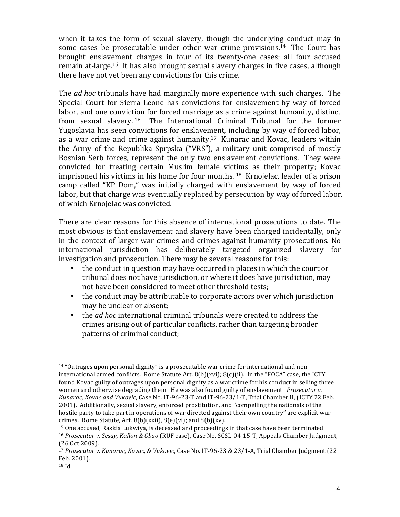when it takes the form of sexual slavery, though the underlying conduct may in some cases be prosecutable under other war crime provisions.<sup>14</sup> The Court has brought enslavement charges in four of its twenty-one cases; all four accused remain at-large.<sup>15</sup> It has also brought sexual slavery charges in five cases, although there have not yet been any convictions for this crime.

The *ad hoc* tribunals have had marginally more experience with such charges. The Special Court for Sierra Leone has convictions for enslavement by way of forced labor, and one conviction for forced marriage as a crime against humanity, distinct from sexual slavery.  $16$  The International Criminal Tribunal for the former Yugoslavia has seen convictions for enslavement, including by way of forced labor, as a war crime and crime against humanity.<sup>17</sup> Kunarac and Kovac, leaders within the Army of the Republika Sprpska ("VRS"), a military unit comprised of mostly Bosnian Serb forces, represent the only two enslavement convictions. They were convicted for treating certain Muslim female victims as their property; Kovac imprisoned his victims in his home for four months.  $18$  Krnojelac, leader of a prison camp called "KP Dom," was initially charged with enslavement by way of forced labor, but that charge was eventually replaced by persecution by way of forced labor, of which Krnojelac was convicted.

There are clear reasons for this absence of international prosecutions to date. The most obvious is that enslavement and slavery have been charged incidentally, only in the context of larger war crimes and crimes against humanity prosecutions. No international jurisdiction has deliberately targeted organized slavery for investigation and prosecution. There may be several reasons for this:

- the conduct in question may have occurred in places in which the court or tribunal does not have jurisdiction, or where it does have jurisdiction, may not have been considered to meet other threshold tests;
- the conduct may be attributable to corporate actors over which jurisdiction may be unclear or absent;
- the *ad hoc* international criminal tribunals were created to address the crimes arising out of particular conflicts, rather than targeting broader patterns of criminal conduct;

  $14$  "Outrages upon personal dignity" is a prosecutable war crime for international and noninternational armed conflicts. Rome Statute Art.  $8(b)(xvi)$ ;  $8(c)(ii)$ . In the "FOCA" case, the ICTY found Kovac guilty of outrages upon personal dignity as a war crime for his conduct in selling three women and otherwise degrading them. He was also found guilty of enslavement. *Prosecutor v. Kunarac, Kovac and Vukovic, Case No. IT-96-23-T and IT-96-23/1-T, Trial Chamber II, (ICTY 22 Feb.* 2001). Additionally, sexual slavery, enforced prostitution, and "compelling the nationals of the hostile party to take part in operations of war directed against their own country" are explicit war crimes. Rome Statute, Art.  $8(b)(xxi)$ ,  $8(e)(vi)$ ; and  $8(b)(xv)$ .

 $15$  One accused, Raskia Lukwiya, is deceased and proceedings in that case have been terminated. <sup>16</sup> *Prosecutor v. Sesay, Kallon & Gbao* (RUF case), Case No. SCSL-04-15-T, Appeals Chamber Judgment, (26 Oct 2009).

<sup>&</sup>lt;sup>17</sup> *Prosecutor v. Kunarac, Kovac, & Vukovic*, Case No. IT-96-23 & 23/1-A, Trial Chamber Judgment (22 Feb. 2001).

<sup>18</sup> Id*.*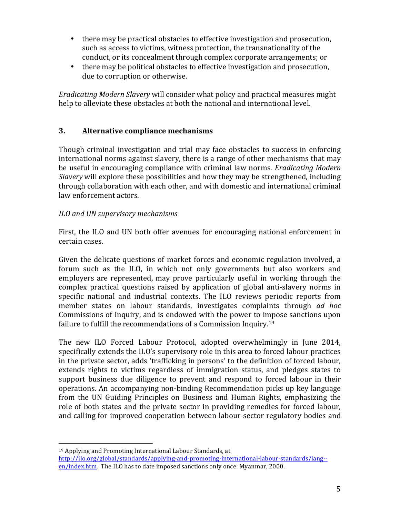- there may be practical obstacles to effective investigation and prosecution, such as access to victims, witness protection, the transnationality of the conduct, or its concealment through complex corporate arrangements; or
- there may be political obstacles to effective investigation and prosecution, due to corruption or otherwise.

*Eradicating Modern Slavery* will consider what policy and practical measures might help to alleviate these obstacles at both the national and international level.

# **3. Alternative compliance mechanisms**

Though criminal investigation and trial may face obstacles to success in enforcing international norms against slavery, there is a range of other mechanisms that may be useful in encouraging compliance with criminal law norms. *Eradicating Modern Slavery* will explore these possibilities and how they may be strengthened, including through collaboration with each other, and with domestic and international criminal law enforcement actors.

# *ILO and UN supervisory mechanisms*

 

First, the ILO and UN both offer avenues for encouraging national enforcement in certain cases. 

Given the delicate questions of market forces and economic regulation involved, a forum such as the ILO, in which not only governments but also workers and employers are represented, may prove particularly useful in working through the complex practical questions raised by application of global anti-slavery norms in specific national and industrial contexts. The ILO reviews periodic reports from member states on labour standards, investigates complaints through *ad hoc* Commissions of Inquiry, and is endowed with the power to impose sanctions upon failure to fulfill the recommendations of a Commission Inquiry.<sup>19</sup>

The new ILO Forced Labour Protocol, adopted overwhelmingly in June 2014, specifically extends the ILO's supervisory role in this area to forced labour practices in the private sector, adds 'trafficking in persons' to the definition of forced labour, extends rights to victims regardless of immigration status, and pledges states to support business due diligence to prevent and respond to forced labour in their operations. An accompanying non-binding Recommendation picks up key language from the UN Guiding Principles on Business and Human Rights, emphasizing the role of both states and the private sector in providing remedies for forced labour, and calling for improved cooperation between labour-sector regulatory bodies and

<sup>&</sup>lt;sup>19</sup> Applying and Promoting International Labour Standards, at http://ilo.org/global/standards/applying-and-promoting-international-labour-standards/lang- en/index.htm. The ILO has to date imposed sanctions only once: Myanmar, 2000.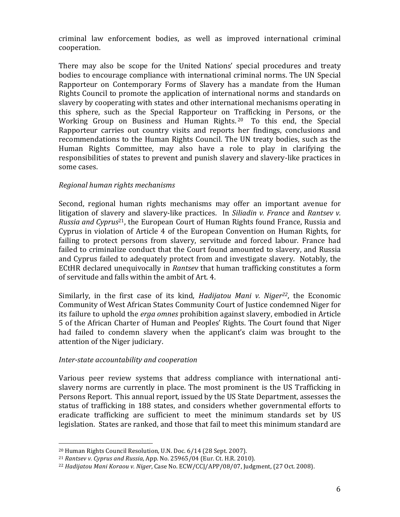criminal law enforcement bodies, as well as improved international criminal cooperation. 

There may also be scope for the United Nations' special procedures and treaty bodies to encourage compliance with international criminal norms. The UN Special Rapporteur on Contemporary Forms of Slavery has a mandate from the Human Rights Council to promote the application of international norms and standards on slavery by cooperating with states and other international mechanisms operating in this sphere, such as the Special Rapporteur on Trafficking in Persons, or the Working Group on Business and Human Rights.  $20$  To this end, the Special Rapporteur carries out country visits and reports her findings, conclusions and recommendations to the Human Rights Council. The UN treaty bodies, such as the Human Rights Committee, may also have a role to play in clarifying the responsibilities of states to prevent and punish slavery and slavery-like practices in some cases.

#### *Regional human rights mechanisms*

Second, regional human rights mechanisms may offer an important avenue for litigation of slavery and slavery-like practices. In *Siliadin v. France* and *Rantsev v. Russia and Cyprus*<sup>21</sup>, the European Court of Human Rights found France, Russia and Cyprus in violation of Article 4 of the European Convention on Human Rights, for failing to protect persons from slavery, servitude and forced labour. France had failed to criminalize conduct that the Court found amounted to slavery, and Russia and Cyprus failed to adequately protect from and investigate slavery. Notably, the ECtHR declared unequivocally in *Rantsev* that human trafficking constitutes a form of servitude and falls within the ambit of Art. 4.

Similarly, in the first case of its kind, *Hadijatou Mani v. Niger<sup>22</sup>*, the Economic Community of West African States Community Court of Justice condemned Niger for its failure to uphold the *erga omnes* prohibition against slavery, embodied in Article 5 of the African Charter of Human and Peoples' Rights. The Court found that Niger had failed to condemn slavery when the applicant's claim was brought to the attention of the Niger judiciary.

#### *Inter-state accountability and cooperation*

 

Various peer review systems that address compliance with international antislavery norms are currently in place. The most prominent is the US Trafficking in Persons Report. This annual report, issued by the US State Department, assesses the status of trafficking in 188 states, and considers whether governmental efforts to eradicate trafficking are sufficient to meet the minimum standards set by US legislation. States are ranked, and those that fail to meet this minimum standard are

 $20$  Human Rights Council Resolution, U.N. Doc.  $6/14$  (28 Sept. 2007).

<sup>&</sup>lt;sup>21</sup> *Rantsev v. Cyprus and Russia*, App. No. 25965/04 (Eur. Ct. H.R. 2010).

<sup>&</sup>lt;sup>22</sup> Hadijatou Mani Koraou v. Niger, Case No. ECW/CCJ/APP/08/07, Judgment, (27 Oct. 2008).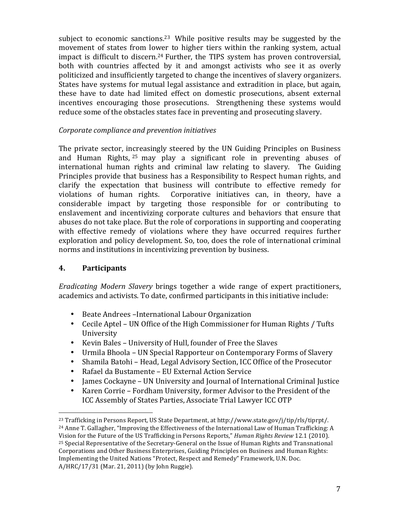subject to economic sanctions.<sup>23</sup> While positive results may be suggested by the movement of states from lower to higher tiers within the ranking system, actual impact is difficult to discern.<sup>24</sup> Further, the TIPS system has proven controversial, both with countries affected by it and amongst activists who see it as overly politicized and insufficiently targeted to change the incentives of slavery organizers. States have systems for mutual legal assistance and extradition in place, but again, these have to date had limited effect on domestic prosecutions, absent external incentives encouraging those prosecutions. Strengthening these systems would reduce some of the obstacles states face in preventing and prosecuting slavery.

#### *Corporate compliance and prevention initiatives*

The private sector, increasingly steered by the UN Guiding Principles on Business and Human Rights,  $25$  may play a significant role in preventing abuses of international human rights and criminal law relating to slavery. The Guiding Principles provide that business has a Responsibility to Respect human rights, and clarify the expectation that business will contribute to effective remedy for violations of human rights. Corporative initiatives can, in theory, have a considerable impact by targeting those responsible for or contributing to enslavement and incentivizing corporate cultures and behaviors that ensure that abuses do not take place. But the role of corporations in supporting and cooperating with effective remedy of violations where they have occurred requires further exploration and policy development. So, too, does the role of international criminal norms and institutions in incentivizing prevention by business.

#### **4. Participants**

*Eradicating Modern Slavery* brings together a wide range of expert practitioners, academics and activists. To date, confirmed participants in this initiative include:

- Beate Andrees –International Labour Organization
- Cecile Aptel UN Office of the High Commissioner for Human Rights / Tufts University
- Kevin Bales University of Hull, founder of Free the Slaves
- Urmila Bhoola UN Special Rapporteur on Contemporary Forms of Slavery
- Shamila Batohi Head, Legal Advisory Section, ICC Office of the Prosecutor
- Rafael da Bustamente EU External Action Service
- James Cockayne UN University and Journal of International Criminal Justice
- Karen Corrie Fordham University, former Advisor to the President of the ICC Assembly of States Parties, Associate Trial Lawyer ICC OTP

  $^{23}$  Trafficking in Persons Report, US State Department, at http://www.state.gov/j/tip/rls/tiprpt/.  $^{24}$  Anne T. Gallagher, "Improving the Effectiveness of the International Law of Human Trafficking: A Vision for the Future of the US Trafficking in Persons Reports," *Human Rights Review* 12.1 (2010).  $25$  Special Representative of the Secretary-General on the Issue of Human Rights and Transnational Corporations and Other Business Enterprises, Guiding Principles on Business and Human Rights: Implementing the United Nations "Protect, Respect and Remedy" Framework, U.N. Doc.  $A/HRC/17/31$  (Mar. 21, 2011) (by John Ruggie).